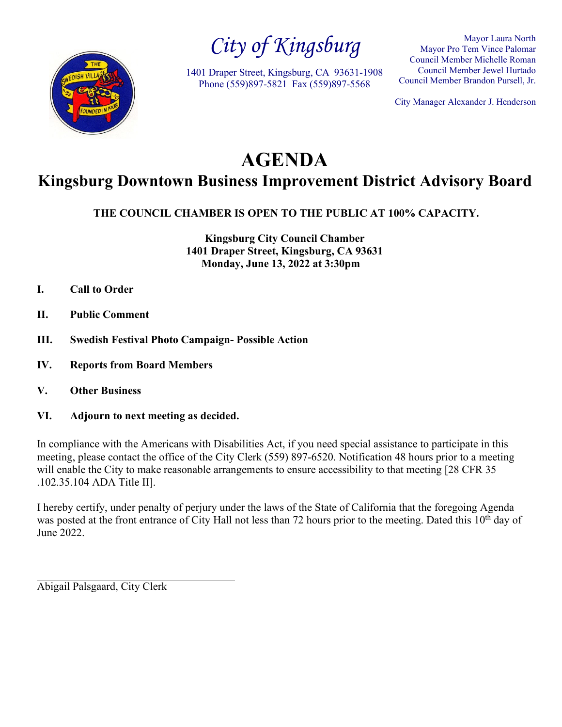

*City of Kingsburg*

1401 Draper Street, Kingsburg, CA 93631-1908 Phone (559)897-5821 Fax (559)897-5568

Mayor Laura North Mayor Pro Tem Vince Palomar Council Member Michelle Roman Council Member Jewel Hurtado Council Member Brandon Pursell, Jr.

City Manager Alexander J. Henderson

# **AGENDA Kingsburg Downtown Business Improvement District Advisory Board**

**THE COUNCIL CHAMBER IS OPEN TO THE PUBLIC AT 100% CAPACITY.**

**Kingsburg City Council Chamber 1401 Draper Street, Kingsburg, CA 93631 Monday, June 13, 2022 at 3:30pm**

- **I. Call to Order**
- **II. Public Comment**
- **III. Swedish Festival Photo Campaign- Possible Action**
- **IV. Reports from Board Members**
- **V. Other Business**
- **VI. Adjourn to next meeting as decided.**

In compliance with the Americans with Disabilities Act, if you need special assistance to participate in this meeting, please contact the office of the City Clerk (559) 897-6520. Notification 48 hours prior to a meeting will enable the City to make reasonable arrangements to ensure accessibility to that meeting [28 CFR 35] .102.35.104 ADA Title II].

I hereby certify, under penalty of perjury under the laws of the State of California that the foregoing Agenda was posted at the front entrance of City Hall not less than 72 hours prior to the meeting. Dated this 10<sup>th</sup> day of June 2022.

Abigail Palsgaard, City Clerk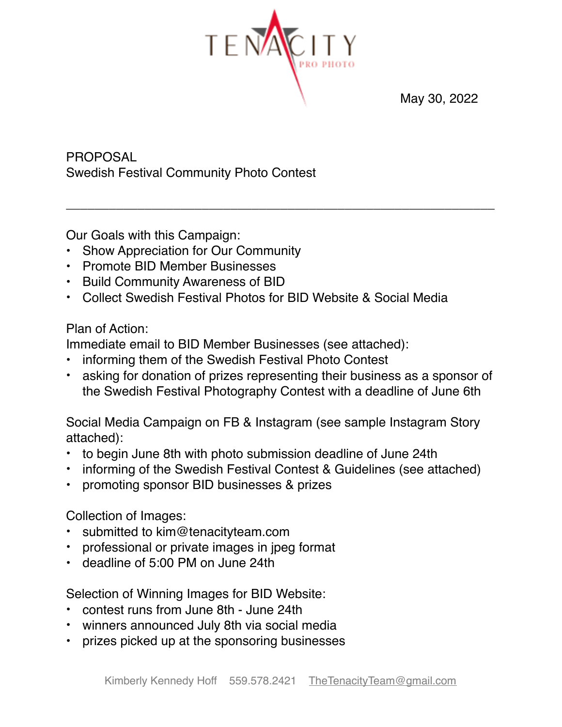

\_\_\_\_\_\_\_\_\_\_\_\_\_\_\_\_\_\_\_\_\_\_\_\_\_\_\_\_\_\_\_\_\_\_\_\_\_\_\_\_\_\_\_\_\_\_\_\_\_\_\_\_\_\_\_\_\_\_\_\_

May 30, 2022

PROPOSAL Swedish Festival Community Photo Contest

Our Goals with this Campaign:

- Show Appreciation for Our Community
- Promote BID Member Businesses
- Build Community Awareness of BID
- Collect Swedish Festival Photos for BID Website & Social Media

### Plan of Action:

Immediate email to BID Member Businesses (see attached):

- informing them of the Swedish Festival Photo Contest
- asking for donation of prizes representing their business as a sponsor of the Swedish Festival Photography Contest with a deadline of June 6th

Social Media Campaign on FB & Instagram (see sample Instagram Story attached):

- to begin June 8th with photo submission deadline of June 24th
- informing of the Swedish Festival Contest & Guidelines (see attached)
- promoting sponsor BID businesses & prizes

Collection of Images:

- submitted to kim@tenacityteam.com
- professional or private images in jpeg format
- deadline of 5:00 PM on June 24th

Selection of Winning Images for BID Website:

- contest runs from June 8th June 24th
- winners announced July 8th via social media
- prizes picked up at the sponsoring businesses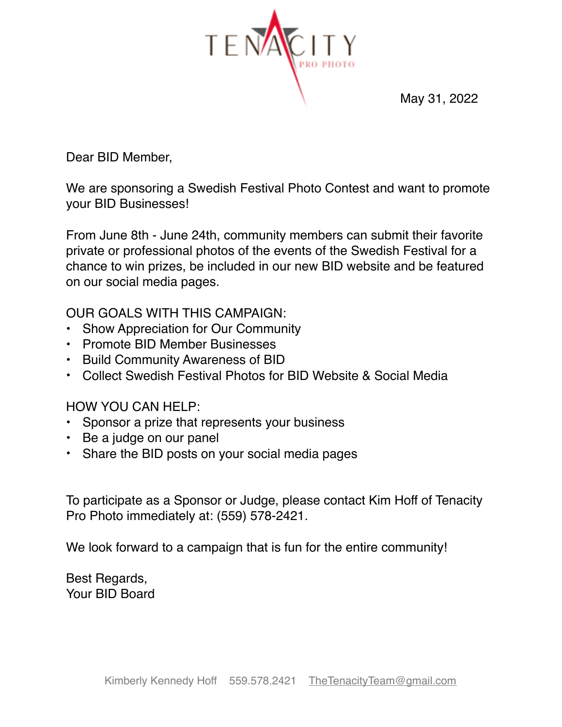

May 31, 2022

Dear BID Member,

We are sponsoring a Swedish Festival Photo Contest and want to promote your BID Businesses!

From June 8th - June 24th, community members can submit their favorite private or professional photos of the events of the Swedish Festival for a chance to win prizes, be included in our new BID website and be featured on our social media pages.

OUR GOALS WITH THIS CAMPAIGN:

- Show Appreciation for Our Community
- Promote BID Member Businesses
- Build Community Awareness of BID
- Collect Swedish Festival Photos for BID Website & Social Media

HOW YOU CAN HELP:

- Sponsor a prize that represents your business
- Be a judge on our panel
- Share the BID posts on your social media pages

To participate as a Sponsor or Judge, please contact Kim Hoff of Tenacity Pro Photo immediately at: (559) 578-2421.

We look forward to a campaign that is fun for the entire community!

Best Regards, Your BID Board